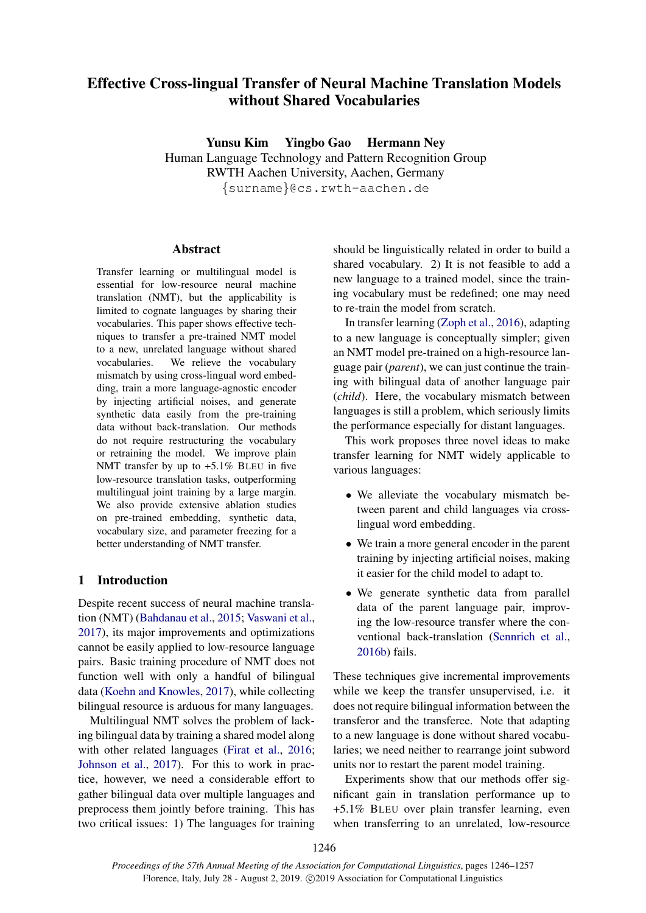# Effective Cross-lingual Transfer of Neural Machine Translation Models without Shared Vocabularies

Yunsu Kim Yingbo Gao Hermann Ney Human Language Technology and Pattern Recognition Group RWTH Aachen University, Aachen, Germany {surname}@cs.rwth-aachen.de

## Abstract

Transfer learning or multilingual model is essential for low-resource neural machine translation (NMT), but the applicability is limited to cognate languages by sharing their vocabularies. This paper shows effective techniques to transfer a pre-trained NMT model to a new, unrelated language without shared vocabularies. We relieve the vocabulary mismatch by using cross-lingual word embedding, train a more language-agnostic encoder by injecting artificial noises, and generate synthetic data easily from the pre-training data without back-translation. Our methods do not require restructuring the vocabulary or retraining the model. We improve plain NMT transfer by up to  $+5.1\%$  BLEU in five low-resource translation tasks, outperforming multilingual joint training by a large margin. We also provide extensive ablation studies on pre-trained embedding, synthetic data, vocabulary size, and parameter freezing for a better understanding of NMT transfer.

# 1 Introduction

Despite recent success of neural machine translation (NMT) [\(Bahdanau et al.,](#page-9-0) [2015;](#page-9-0) [Vaswani et al.,](#page-11-0) [2017\)](#page-11-0), its major improvements and optimizations cannot be easily applied to low-resource language pairs. Basic training procedure of NMT does not function well with only a handful of bilingual data [\(Koehn and Knowles,](#page-10-0) [2017\)](#page-10-0), while collecting bilingual resource is arduous for many languages.

Multilingual NMT solves the problem of lacking bilingual data by training a shared model along with other related languages [\(Firat et al.,](#page-9-1) [2016;](#page-9-1) [Johnson et al.,](#page-10-1) [2017\)](#page-10-1). For this to work in practice, however, we need a considerable effort to gather bilingual data over multiple languages and preprocess them jointly before training. This has two critical issues: 1) The languages for training

should be linguistically related in order to build a shared vocabulary. 2) It is not feasible to add a new language to a trained model, since the training vocabulary must be redefined; one may need to re-train the model from scratch.

In transfer learning [\(Zoph et al.,](#page-11-1) [2016\)](#page-11-1), adapting to a new language is conceptually simpler; given an NMT model pre-trained on a high-resource language pair (*parent*), we can just continue the training with bilingual data of another language pair (*child*). Here, the vocabulary mismatch between languages is still a problem, which seriously limits the performance especially for distant languages.

This work proposes three novel ideas to make transfer learning for NMT widely applicable to various languages:

- We alleviate the vocabulary mismatch between parent and child languages via crosslingual word embedding.
- We train a more general encoder in the parent training by injecting artificial noises, making it easier for the child model to adapt to.
- We generate synthetic data from parallel data of the parent language pair, improving the low-resource transfer where the conventional back-translation [\(Sennrich et al.,](#page-11-2) [2016b\)](#page-11-2) fails.

These techniques give incremental improvements while we keep the transfer unsupervised, i.e. it does not require bilingual information between the transferor and the transferee. Note that adapting to a new language is done without shared vocabularies; we need neither to rearrange joint subword units nor to restart the parent model training.

Experiments show that our methods offer significant gain in translation performance up to +5.1% BLEU over plain transfer learning, even when transferring to an unrelated, low-resource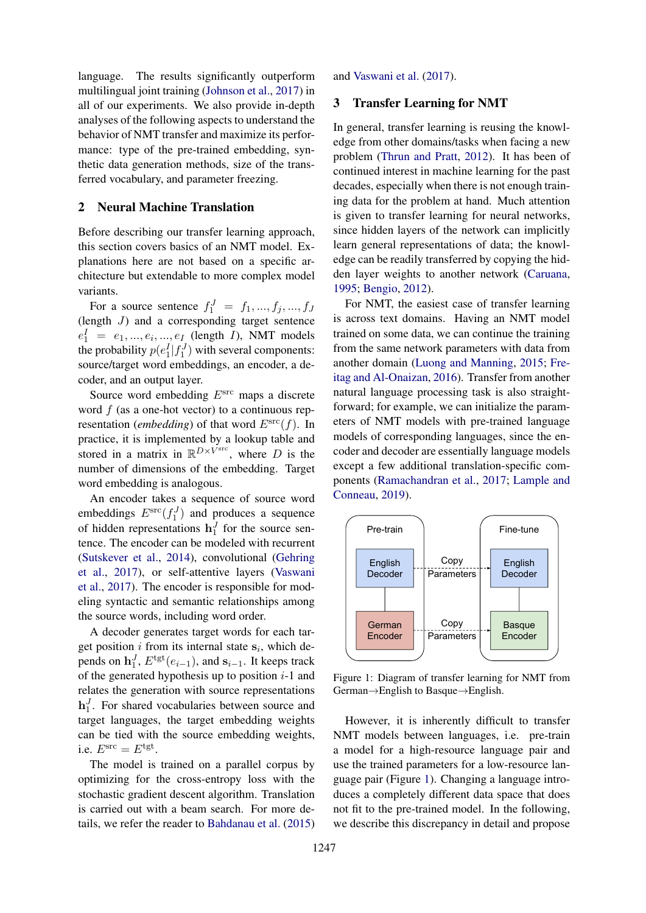language. The results significantly outperform multilingual joint training [\(Johnson et al.,](#page-10-1) [2017\)](#page-10-1) in all of our experiments. We also provide in-depth analyses of the following aspects to understand the behavior of NMT transfer and maximize its performance: type of the pre-trained embedding, synthetic data generation methods, size of the transferred vocabulary, and parameter freezing.

# 2 Neural Machine Translation

Before describing our transfer learning approach, this section covers basics of an NMT model. Explanations here are not based on a specific architecture but extendable to more complex model variants.

For a source sentence  $f_1^J = f_1, ..., f_j, ..., f_J$ (length J) and a corresponding target sentence  $e_1^I = e_1, ..., e_i, ..., e_I$  (length *I*), NMT models the probability  $p(e_1^I | f_1^J)$  with several components: source/target word embeddings, an encoder, a decoder, and an output layer.

Source word embedding  $E<sup>src</sup>$  maps a discrete word  $f$  (as a one-hot vector) to a continuous representation (*embedding*) of that word  $E^{\rm src}(f)$ . In practice, it is implemented by a lookup table and stored in a matrix in  $\mathbb{R}^{D\times V^{\text{src}}}$ , where D is the number of dimensions of the embedding. Target word embedding is analogous.

An encoder takes a sequence of source word embeddings  $E^{\rm src}(f_1^J)$  and produces a sequence of hidden representations  $\mathbf{h}_1^J$  for the source sentence. The encoder can be modeled with recurrent [\(Sutskever et al.,](#page-11-3) [2014\)](#page-11-3), convolutional [\(Gehring](#page-9-2) [et al.,](#page-9-2) [2017\)](#page-9-2), or self-attentive layers [\(Vaswani](#page-11-0) [et al.,](#page-11-0) [2017\)](#page-11-0). The encoder is responsible for modeling syntactic and semantic relationships among the source words, including word order.

A decoder generates target words for each target position  $i$  from its internal state  $s_i$ , which depends on  $\mathbf{h}_1^J$ ,  $E^{\text{tgt}}(e_{i-1})$ , and  $\mathbf{s}_{i-1}$ . It keeps track of the generated hypothesis up to position  $i-1$  and relates the generation with source representations  $\mathbf{h}_1^J$ . For shared vocabularies between source and target languages, the target embedding weights can be tied with the source embedding weights, i.e.  $E^{\rm src} = E^{\rm tgt}$ .

The model is trained on a parallel corpus by optimizing for the cross-entropy loss with the stochastic gradient descent algorithm. Translation is carried out with a beam search. For more details, we refer the reader to [Bahdanau et al.](#page-9-0) [\(2015\)](#page-9-0)

and [Vaswani et al.](#page-11-0) [\(2017\)](#page-11-0).

### 3 Transfer Learning for NMT

In general, transfer learning is reusing the knowledge from other domains/tasks when facing a new problem [\(Thrun and Pratt,](#page-11-4) [2012\)](#page-11-4). It has been of continued interest in machine learning for the past decades, especially when there is not enough training data for the problem at hand. Much attention is given to transfer learning for neural networks, since hidden layers of the network can implicitly learn general representations of data; the knowledge can be readily transferred by copying the hidden layer weights to another network [\(Caruana,](#page-9-3) [1995;](#page-9-3) [Bengio,](#page-9-4) [2012\)](#page-9-4).

For NMT, the easiest case of transfer learning is across text domains. Having an NMT model trained on some data, we can continue the training from the same network parameters with data from another domain [\(Luong and Manning,](#page-10-2) [2015;](#page-10-2) [Fre](#page-9-5)[itag and Al-Onaizan,](#page-9-5) [2016\)](#page-9-5). Transfer from another natural language processing task is also straightforward; for example, we can initialize the parameters of NMT models with pre-trained language models of corresponding languages, since the encoder and decoder are essentially language models except a few additional translation-specific components [\(Ramachandran et al.,](#page-10-3) [2017;](#page-10-3) [Lample and](#page-10-4) [Conneau,](#page-10-4) [2019\)](#page-10-4).

<span id="page-1-0"></span>

Figure 1: Diagram of transfer learning for NMT from German→English to Basque→English.

However, it is inherently difficult to transfer NMT models between languages, i.e. pre-train a model for a high-resource language pair and use the trained parameters for a low-resource language pair (Figure [1\)](#page-1-0). Changing a language introduces a completely different data space that does not fit to the pre-trained model. In the following, we describe this discrepancy in detail and propose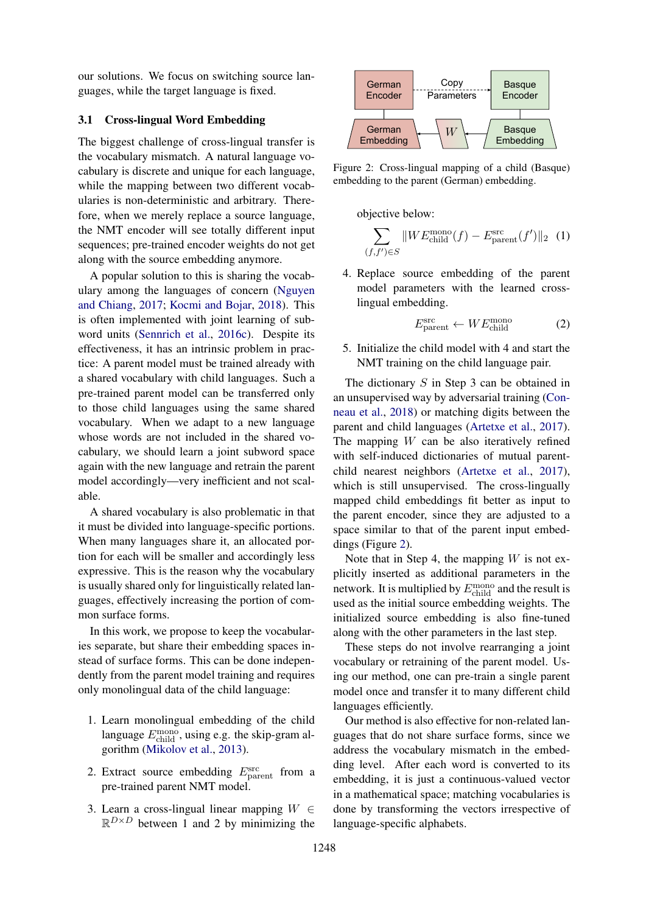our solutions. We focus on switching source languages, while the target language is fixed.

### <span id="page-2-1"></span>3.1 Cross-lingual Word Embedding

The biggest challenge of cross-lingual transfer is the vocabulary mismatch. A natural language vocabulary is discrete and unique for each language, while the mapping between two different vocabularies is non-deterministic and arbitrary. Therefore, when we merely replace a source language, the NMT encoder will see totally different input sequences; pre-trained encoder weights do not get along with the source embedding anymore.

A popular solution to this is sharing the vocabulary among the languages of concern [\(Nguyen](#page-10-5) [and Chiang,](#page-10-5) [2017;](#page-10-5) [Kocmi and Bojar,](#page-10-6) [2018\)](#page-10-6). This is often implemented with joint learning of subword units [\(Sennrich et al.,](#page-11-5) [2016c\)](#page-11-5). Despite its effectiveness, it has an intrinsic problem in practice: A parent model must be trained already with a shared vocabulary with child languages. Such a pre-trained parent model can be transferred only to those child languages using the same shared vocabulary. When we adapt to a new language whose words are not included in the shared vocabulary, we should learn a joint subword space again with the new language and retrain the parent model accordingly—very inefficient and not scalable.

A shared vocabulary is also problematic in that it must be divided into language-specific portions. When many languages share it, an allocated portion for each will be smaller and accordingly less expressive. This is the reason why the vocabulary is usually shared only for linguistically related languages, effectively increasing the portion of common surface forms.

In this work, we propose to keep the vocabularies separate, but share their embedding spaces instead of surface forms. This can be done independently from the parent model training and requires only monolingual data of the child language:

- 1. Learn monolingual embedding of the child language  $E_{\text{child}}^{\text{mono}}$ , using e.g. the skip-gram algorithm [\(Mikolov et al.,](#page-10-7) [2013\)](#page-10-7).
- 2. Extract source embedding  $E_{\text{parent}}^{\text{src}}$  from a pre-trained parent NMT model.
- 3. Learn a cross-lingual linear mapping  $W \in$  $\mathbb{R}^{D\times D}$  between 1 and 2 by minimizing the

<span id="page-2-0"></span>

Figure 2: Cross-lingual mapping of a child (Basque) embedding to the parent (German) embedding.

objective below:

$$
\sum_{(f,f') \in S} \|W E_{\text{child}}^{\text{mono}}(f) - E_{\text{parent}}^{\text{src}}(f')\|_2 \tag{1}
$$

4. Replace source embedding of the parent model parameters with the learned crosslingual embedding.

$$
E_{\text{parent}}^{\text{src}} \leftarrow WE_{\text{child}}^{\text{mono}} \tag{2}
$$

5. Initialize the child model with 4 and start the NMT training on the child language pair.

The dictionary S in Step 3 can be obtained in an unsupervised way by adversarial training [\(Con](#page-9-6)[neau et al.,](#page-9-6) [2018\)](#page-9-6) or matching digits between the parent and child languages [\(Artetxe et al.,](#page-8-0) [2017\)](#page-8-0). The mapping  $W$  can be also iteratively refined with self-induced dictionaries of mutual parentchild nearest neighbors [\(Artetxe et al.,](#page-8-0) [2017\)](#page-8-0), which is still unsupervised. The cross-lingually mapped child embeddings fit better as input to the parent encoder, since they are adjusted to a space similar to that of the parent input embeddings (Figure [2\)](#page-2-0).

Note that in Step 4, the mapping  $W$  is not explicitly inserted as additional parameters in the network. It is multiplied by  $E_{\text{child}}^{\text{mono}}$  and the result is used as the initial source embedding weights. The initialized source embedding is also fine-tuned along with the other parameters in the last step.

These steps do not involve rearranging a joint vocabulary or retraining of the parent model. Using our method, one can pre-train a single parent model once and transfer it to many different child languages efficiently.

Our method is also effective for non-related languages that do not share surface forms, since we address the vocabulary mismatch in the embedding level. After each word is converted to its embedding, it is just a continuous-valued vector in a mathematical space; matching vocabularies is done by transforming the vectors irrespective of language-specific alphabets.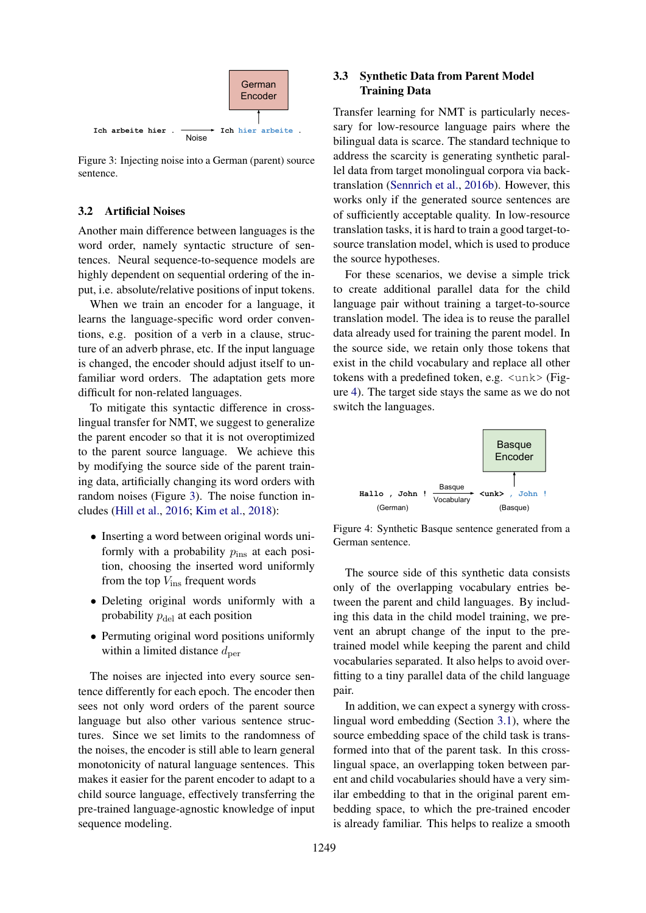<span id="page-3-0"></span>

Figure 3: Injecting noise into a German (parent) source sentence.

### 3.2 Artificial Noises

Another main difference between languages is the word order, namely syntactic structure of sentences. Neural sequence-to-sequence models are highly dependent on sequential ordering of the input, i.e. absolute/relative positions of input tokens.

When we train an encoder for a language, it learns the language-specific word order conventions, e.g. position of a verb in a clause, structure of an adverb phrase, etc. If the input language is changed, the encoder should adjust itself to unfamiliar word orders. The adaptation gets more difficult for non-related languages.

To mitigate this syntactic difference in crosslingual transfer for NMT, we suggest to generalize the parent encoder so that it is not overoptimized to the parent source language. We achieve this by modifying the source side of the parent training data, artificially changing its word orders with random noises (Figure [3\)](#page-3-0). The noise function includes [\(Hill et al.,](#page-9-7) [2016;](#page-9-7) [Kim et al.,](#page-10-8) [2018\)](#page-10-8):

- Inserting a word between original words uniformly with a probability  $p_{ins}$  at each position, choosing the inserted word uniformly from the top  $V_{\text{ins}}$  frequent words
- Deleting original words uniformly with a probability  $p_{\text{del}}$  at each position
- Permuting original word positions uniformly within a limited distance  $d_{\text{per}}$

The noises are injected into every source sentence differently for each epoch. The encoder then sees not only word orders of the parent source language but also other various sentence structures. Since we set limits to the randomness of the noises, the encoder is still able to learn general monotonicity of natural language sentences. This makes it easier for the parent encoder to adapt to a child source language, effectively transferring the pre-trained language-agnostic knowledge of input sequence modeling.

# <span id="page-3-2"></span>3.3 Synthetic Data from Parent Model Training Data

Transfer learning for NMT is particularly necessary for low-resource language pairs where the bilingual data is scarce. The standard technique to address the scarcity is generating synthetic parallel data from target monolingual corpora via backtranslation [\(Sennrich et al.,](#page-11-2) [2016b\)](#page-11-2). However, this works only if the generated source sentences are of sufficiently acceptable quality. In low-resource translation tasks, it is hard to train a good target-tosource translation model, which is used to produce the source hypotheses.

For these scenarios, we devise a simple trick to create additional parallel data for the child language pair without training a target-to-source translation model. The idea is to reuse the parallel data already used for training the parent model. In the source side, we retain only those tokens that exist in the child vocabulary and replace all other tokens with a predefined token, e.g. <unk> (Figure [4\)](#page-3-1). The target side stays the same as we do not switch the languages.

<span id="page-3-1"></span>

Figure 4: Synthetic Basque sentence generated from a German sentence.

The source side of this synthetic data consists only of the overlapping vocabulary entries between the parent and child languages. By including this data in the child model training, we prevent an abrupt change of the input to the pretrained model while keeping the parent and child vocabularies separated. It also helps to avoid overfitting to a tiny parallel data of the child language pair.

In addition, we can expect a synergy with crosslingual word embedding (Section [3.1\)](#page-2-1), where the source embedding space of the child task is transformed into that of the parent task. In this crosslingual space, an overlapping token between parent and child vocabularies should have a very similar embedding to that in the original parent embedding space, to which the pre-trained encoder is already familiar. This helps to realize a smooth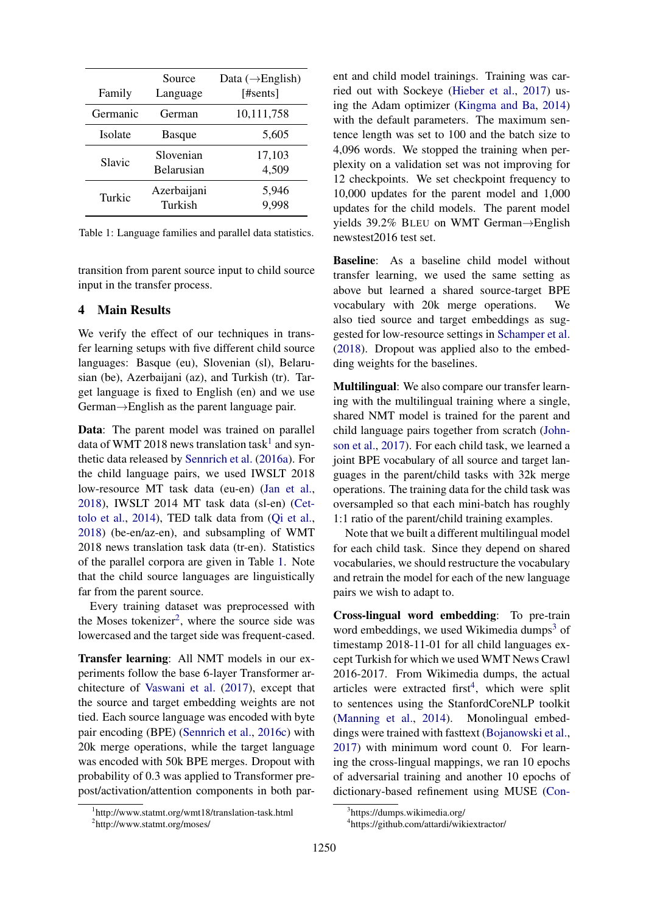<span id="page-4-1"></span>

| Family   | Source<br>Language             | Data $(\rightarrow$ English)<br>[#sents] |
|----------|--------------------------------|------------------------------------------|
| Germanic | German                         | 10,111,758                               |
| Isolate  | Basque                         | 5,605                                    |
| Slavic   | Slovenian<br><b>Belarusian</b> | 17,103<br>4,509                          |
| Turkic   | Azerbaijani<br>Turkish         | 5,946<br>9,998                           |

Table 1: Language families and parallel data statistics.

transition from parent source input to child source input in the transfer process.

### <span id="page-4-5"></span>4 Main Results

We verify the effect of our techniques in transfer learning setups with five different child source languages: Basque (eu), Slovenian (sl), Belarusian (be), Azerbaijani (az), and Turkish (tr). Target language is fixed to English (en) and we use German→English as the parent language pair.

Data: The parent model was trained on parallel data of WMT 20[1](#page-4-0)8 news translation task<sup>1</sup> and synthetic data released by [Sennrich et al.](#page-11-6) [\(2016a\)](#page-11-6). For the child language pairs, we used IWSLT 2018 low-resource MT task data (eu-en) [\(Jan et al.,](#page-10-9) [2018\)](#page-10-9), IWSLT 2014 MT task data (sl-en) [\(Cet](#page-9-8)[tolo et al.,](#page-9-8) [2014\)](#page-9-8), TED talk data from [\(Qi et al.,](#page-10-10) [2018\)](#page-10-10) (be-en/az-en), and subsampling of WMT 2018 news translation task data (tr-en). Statistics of the parallel corpora are given in Table [1.](#page-4-1) Note that the child source languages are linguistically far from the parent source.

Every training dataset was preprocessed with the Moses tokenizer<sup>[2](#page-4-2)</sup>, where the source side was lowercased and the target side was frequent-cased.

Transfer learning: All NMT models in our experiments follow the base 6-layer Transformer architecture of [Vaswani et al.](#page-11-0) [\(2017\)](#page-11-0), except that the source and target embedding weights are not tied. Each source language was encoded with byte pair encoding (BPE) [\(Sennrich et al.,](#page-11-5) [2016c\)](#page-11-5) with 20k merge operations, while the target language was encoded with 50k BPE merges. Dropout with probability of 0.3 was applied to Transformer prepost/activation/attention components in both par-

ent and child model trainings. Training was carried out with Sockeye [\(Hieber et al.,](#page-9-9) [2017\)](#page-9-9) using the Adam optimizer [\(Kingma and Ba,](#page-10-11) [2014\)](#page-10-11) with the default parameters. The maximum sentence length was set to 100 and the batch size to 4,096 words. We stopped the training when perplexity on a validation set was not improving for 12 checkpoints. We set checkpoint frequency to 10,000 updates for the parent model and 1,000 updates for the child models. The parent model yields 39.2% BLEU on WMT German→English newstest2016 test set.

Baseline: As a baseline child model without transfer learning, we used the same setting as above but learned a shared source-target BPE vocabulary with 20k merge operations. We also tied source and target embeddings as suggested for low-resource settings in [Schamper et al.](#page-10-12) [\(2018\)](#page-10-12). Dropout was applied also to the embedding weights for the baselines.

Multilingual: We also compare our transfer learning with the multilingual training where a single, shared NMT model is trained for the parent and child language pairs together from scratch [\(John](#page-10-1)[son et al.,](#page-10-1) [2017\)](#page-10-1). For each child task, we learned a joint BPE vocabulary of all source and target languages in the parent/child tasks with 32k merge operations. The training data for the child task was oversampled so that each mini-batch has roughly 1:1 ratio of the parent/child training examples.

Note that we built a different multilingual model for each child task. Since they depend on shared vocabularies, we should restructure the vocabulary and retrain the model for each of the new language pairs we wish to adapt to.

Cross-lingual word embedding: To pre-train word embeddings, we used Wikimedia dumps<sup>[3](#page-4-3)</sup> of timestamp 2018-11-01 for all child languages except Turkish for which we used WMT News Crawl 2016-2017. From Wikimedia dumps, the actual articles were extracted first<sup>[4](#page-4-4)</sup>, which were split to sentences using the StanfordCoreNLP toolkit [\(Manning et al.,](#page-10-13) [2014\)](#page-10-13). Monolingual embeddings were trained with fasttext [\(Bojanowski et al.,](#page-9-10) [2017\)](#page-9-10) with minimum word count 0. For learning the cross-lingual mappings, we ran 10 epochs of adversarial training and another 10 epochs of dictionary-based refinement using MUSE [\(Con-](#page-9-6)

<span id="page-4-0"></span><sup>1</sup> http://www.statmt.org/wmt18/translation-task.html

<span id="page-4-2"></span><sup>2</sup> http://www.statmt.org/moses/

<span id="page-4-3"></span><sup>3</sup> [https://dumps.wikimedia.org/](#page-9-6)

<span id="page-4-4"></span><sup>4</sup> [https://github.com/attardi/wikiextractor/](#page-9-6)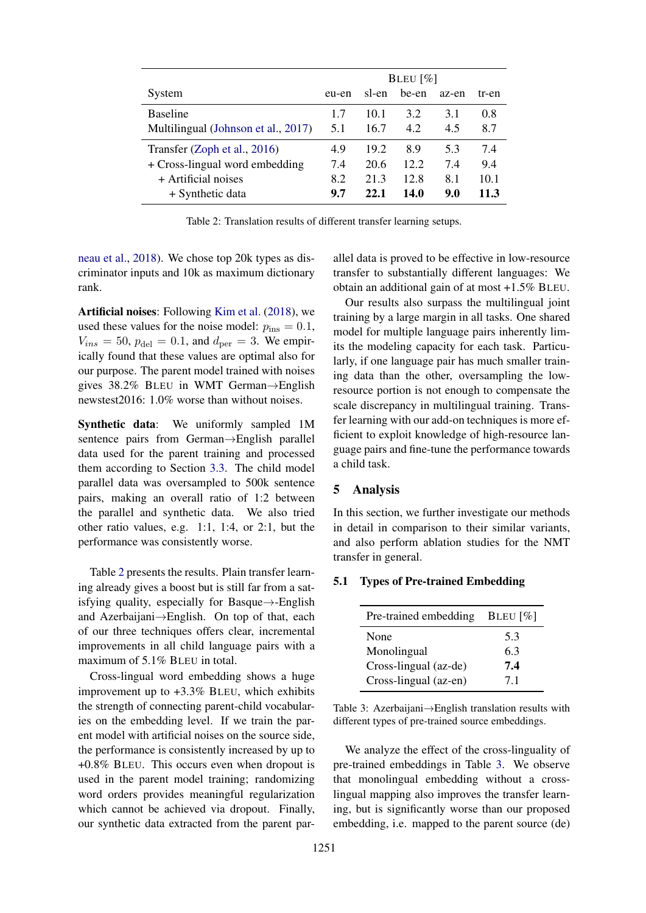<span id="page-5-0"></span>

|                                     | BLEU $\lceil\% \rceil$ |       |       |       |       |
|-------------------------------------|------------------------|-------|-------|-------|-------|
| System                              | eu-en                  | sl-en | be-en | az-en | tr-en |
| <b>Baseline</b>                     | 1.7                    | 10.1  | 3.2   | 3.1   | 0.8   |
| Multilingual (Johnson et al., 2017) | 5.1                    | 16.7  | 4.2   | 4.5   | 8.7   |
| Transfer (Zoph et al., 2016)        | 4.9                    | 19.2  | 8.9   | 5.3   | 7.4   |
| + Cross-lingual word embedding      | 7.4                    | 20.6  | 12.2  | 7.4   | 9.4   |
| $+$ Artificial noises               | 8.2                    | 21.3  | 12.8  | 8.1   | 10.1  |
| + Synthetic data                    | 9.7                    | 22.1  | 14.0  | 9.0   | 11.3  |

Table 2: Translation results of different transfer learning setups.

[neau et al.,](#page-9-6) [2018\)](#page-9-6). We chose top 20k types as discriminator inputs and 10k as maximum dictionary rank.

Artificial noises: Following [Kim et al.](#page-10-8) [\(2018\)](#page-10-8), we used these values for the noise model:  $p_{ins} = 0.1$ ,  $V_{ins} = 50, p_{del} = 0.1$ , and  $d_{per} = 3$ . We empirically found that these values are optimal also for our purpose. The parent model trained with noises gives 38.2% BLEU in WMT German→English newstest2016: 1.0% worse than without noises.

Synthetic data: We uniformly sampled 1M sentence pairs from German→English parallel data used for the parent training and processed them according to Section [3.3.](#page-3-2) The child model parallel data was oversampled to 500k sentence pairs, making an overall ratio of 1:2 between the parallel and synthetic data. We also tried other ratio values, e.g. 1:1, 1:4, or 2:1, but the performance was consistently worse.

Table [2](#page-5-0) presents the results. Plain transfer learning already gives a boost but is still far from a satisfying quality, especially for Basque $\rightarrow$ -English and Azerbaijani→English. On top of that, each of our three techniques offers clear, incremental improvements in all child language pairs with a maximum of 5.1% BLEU in total.

Cross-lingual word embedding shows a huge improvement up to +3.3% BLEU, which exhibits the strength of connecting parent-child vocabularies on the embedding level. If we train the parent model with artificial noises on the source side, the performance is consistently increased by up to +0.8% BLEU. This occurs even when dropout is used in the parent model training; randomizing word orders provides meaningful regularization which cannot be achieved via dropout. Finally, our synthetic data extracted from the parent par-

allel data is proved to be effective in low-resource transfer to substantially different languages: We obtain an additional gain of at most +1.5% BLEU.

Our results also surpass the multilingual joint training by a large margin in all tasks. One shared model for multiple language pairs inherently limits the modeling capacity for each task. Particularly, if one language pair has much smaller training data than the other, oversampling the lowresource portion is not enough to compensate the scale discrepancy in multilingual training. Transfer learning with our add-on techniques is more efficient to exploit knowledge of high-resource language pairs and fine-tune the performance towards a child task.

# 5 Analysis

In this section, we further investigate our methods in detail in comparison to their similar variants, and also perform ablation studies for the NMT transfer in general.

## <span id="page-5-1"></span>5.1 Types of Pre-trained Embedding

| Pre-trained embedding | BLEU $[\%]$ |  |
|-----------------------|-------------|--|
| None                  | 5.3         |  |
| Monolingual           | 6.3         |  |
| Cross-lingual (az-de) | 7.4         |  |
| Cross-lingual (az-en) | 71          |  |

Table 3: Azerbaijani→English translation results with different types of pre-trained source embeddings.

We analyze the effect of the cross-linguality of pre-trained embeddings in Table [3.](#page-5-1) We observe that monolingual embedding without a crosslingual mapping also improves the transfer learning, but is significantly worse than our proposed embedding, i.e. mapped to the parent source (de)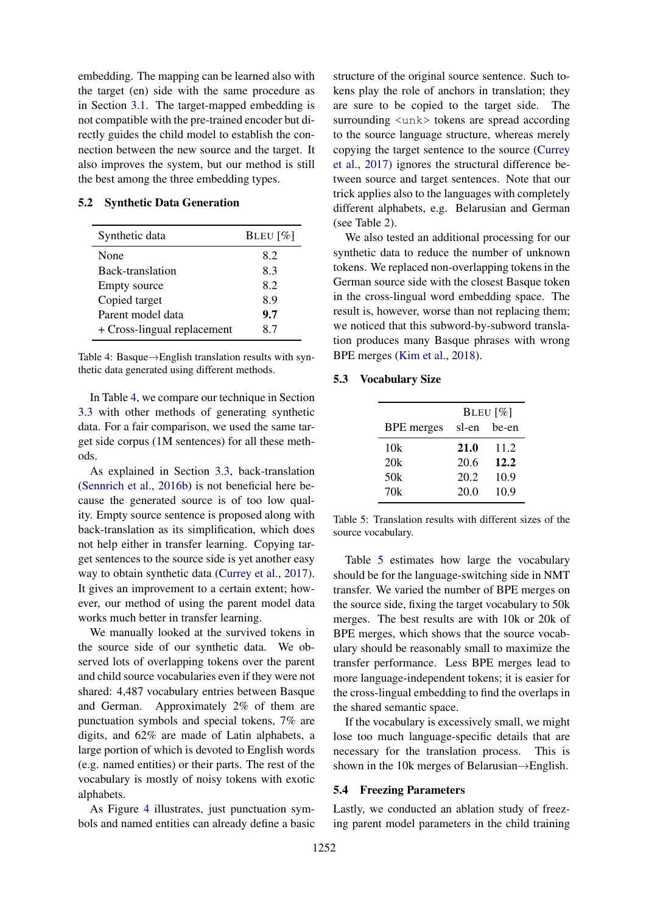embedding. The mapping can be learned also with the target (en) side with the same procedure as in Section [3.1.](#page-2-1) The target-mapped embedding is not compatible with the pre-trained encoder but directly guides the child model to establish the connection between the new source and the target. It also improves the system, but our method is still the best among the three embedding types.

#### 5.2 Synthetic Data Generation

<span id="page-6-0"></span>

| Synthetic data              | BLEU $[\%]$ |  |
|-----------------------------|-------------|--|
| None                        | 8.2         |  |
| Back-translation            | 8.3         |  |
| <b>Empty</b> source         | 82          |  |
| Copied target               | 8.9         |  |
| Parent model data           | 9.7         |  |
| + Cross-lingual replacement | 87          |  |

Table 4: Basque→English translation results with synthetic data generated using different methods.

In Table [4,](#page-6-0) we compare our technique in Section [3.3](#page-3-2) with other methods of generating synthetic data. For a fair comparison, we used the same target side corpus (1M sentences) for all these methods.

As explained in Section [3.3,](#page-3-2) back-translation [\(Sennrich et al.,](#page-11-2) [2016b\)](#page-11-2) is not beneficial here because the generated source is of too low quality. Empty source sentence is proposed along with back-translation as its simplification, which does not help either in transfer learning. Copying target sentences to the source side is yet another easy way to obtain synthetic data [\(Currey et al.,](#page-9-11) [2017\)](#page-9-11). It gives an improvement to a certain extent; however, our method of using the parent model data works much better in transfer learning.

We manually looked at the survived tokens in the source side of our synthetic data. We observed lots of overlapping tokens over the parent and child source vocabularies even if they were not shared: 4,487 vocabulary entries between Basque and German. Approximately 2% of them are punctuation symbols and special tokens, 7% are digits, and 62% are made of Latin alphabets, a large portion of which is devoted to English words (e.g. named entities) or their parts. The rest of the vocabulary is mostly of noisy tokens with exotic alphabets.

As Figure [4](#page-3-1) illustrates, just punctuation symbols and named entities can already define a basic structure of the original source sentence. Such tokens play the role of anchors in translation; they are sure to be copied to the target side. The surrounding  $\langle$ unk> tokens are spread according to the source language structure, whereas merely copying the target sentence to the source [\(Currey](#page-9-11) [et al.,](#page-9-11) [2017\)](#page-9-11) ignores the structural difference between source and target sentences. Note that our trick applies also to the languages with completely different alphabets, e.g. Belarusian and German (see Table [2\)](#page-5-0).

We also tested an additional processing for our synthetic data to reduce the number of unknown tokens. We replaced non-overlapping tokens in the German source side with the closest Basque token in the cross-lingual word embedding space. The result is, however, worse than not replacing them; we noticed that this subword-by-subword translation produces many Basque phrases with wrong BPE merges [\(Kim et al.,](#page-10-8) [2018\)](#page-10-8).

#### <span id="page-6-1"></span>5.3 Vocabulary Size

|                   | BLEU $[\%]$ |       |  |
|-------------------|-------------|-------|--|
| <b>BPE</b> merges | sl-en       | be-en |  |
| 10k               | 21.0        | 11.2  |  |
| 20k               | 20.6        | 12.2  |  |
| 50k               | 20.2        | 10.9  |  |
| 70k               | 20.0        | 10.9  |  |

Table 5: Translation results with different sizes of the source vocabulary.

Table [5](#page-6-1) estimates how large the vocabulary should be for the language-switching side in NMT transfer. We varied the number of BPE merges on the source side, fixing the target vocabulary to 50k merges. The best results are with 10k or 20k of BPE merges, which shows that the source vocabulary should be reasonably small to maximize the transfer performance. Less BPE merges lead to more language-independent tokens; it is easier for the cross-lingual embedding to find the overlaps in the shared semantic space.

If the vocabulary is excessively small, we might lose too much language-specific details that are necessary for the translation process. This is shown in the 10k merges of Belarusian→English.

#### 5.4 Freezing Parameters

Lastly, we conducted an ablation study of freezing parent model parameters in the child training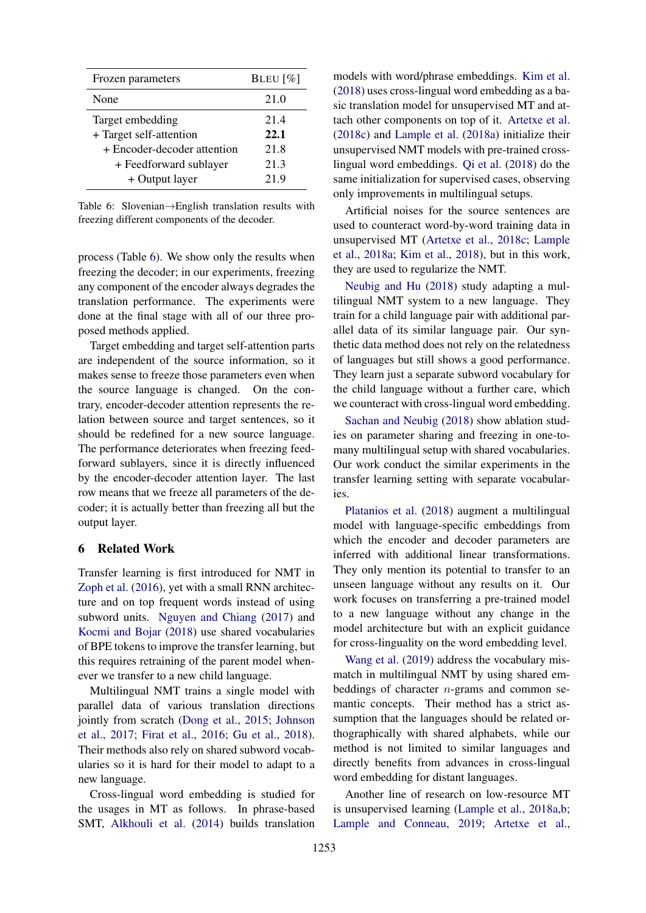<span id="page-7-0"></span>

| Frozen parameters           | BLEU $[\%]$ |
|-----------------------------|-------------|
| None                        | 21.0        |
| Target embedding            | 21.4        |
| + Target self-attention     | 22.1        |
| + Encoder-decoder attention | 21.8        |
| + Feedforward sublayer      | 21.3        |
| + Output layer              | 21.9        |

Table 6: Slovenian→English translation results with freezing different components of the decoder.

process (Table [6\)](#page-7-0). We show only the results when freezing the decoder; in our experiments, freezing any component of the encoder always degrades the translation performance. The experiments were done at the final stage with all of our three proposed methods applied.

Target embedding and target self-attention parts are independent of the source information, so it makes sense to freeze those parameters even when the source language is changed. On the contrary, encoder-decoder attention represents the relation between source and target sentences, so it should be redefined for a new source language. The performance deteriorates when freezing feedforward sublayers, since it is directly influenced by the encoder-decoder attention layer. The last row means that we freeze all parameters of the decoder; it is actually better than freezing all but the output layer.

### 6 Related Work

Transfer learning is first introduced for NMT in [Zoph et al.](#page-11-1) [\(2016\)](#page-11-1), yet with a small RNN architecture and on top frequent words instead of using subword units. [Nguyen and Chiang](#page-10-5) [\(2017\)](#page-10-5) and [Kocmi and Bojar](#page-10-6) [\(2018\)](#page-10-6) use shared vocabularies of BPE tokens to improve the transfer learning, but this requires retraining of the parent model whenever we transfer to a new child language.

Multilingual NMT trains a single model with parallel data of various translation directions jointly from scratch [\(Dong et al.,](#page-9-12) [2015;](#page-9-12) [Johnson](#page-10-1) [et al.,](#page-10-1) [2017;](#page-10-1) [Firat et al.,](#page-9-1) [2016;](#page-9-1) [Gu et al.,](#page-9-13) [2018\)](#page-9-13). Their methods also rely on shared subword vocabularies so it is hard for their model to adapt to a new language.

Cross-lingual word embedding is studied for the usages in MT as follows. In phrase-based SMT, [Alkhouli et al.](#page-8-1) [\(2014\)](#page-8-1) builds translation

models with word/phrase embeddings. [Kim et al.](#page-10-8) [\(2018\)](#page-10-8) uses cross-lingual word embedding as a basic translation model for unsupervised MT and attach other components on top of it. [Artetxe et al.](#page-9-14) [\(2018c\)](#page-9-14) and [Lample et al.](#page-10-14) [\(2018a\)](#page-10-14) initialize their unsupervised NMT models with pre-trained crosslingual word embeddings. [Qi et al.](#page-10-10) [\(2018\)](#page-10-10) do the same initialization for supervised cases, observing only improvements in multilingual setups.

Artificial noises for the source sentences are used to counteract word-by-word training data in unsupervised MT [\(Artetxe et al.,](#page-9-14) [2018c;](#page-9-14) [Lample](#page-10-14) [et al.,](#page-10-14) [2018a;](#page-10-14) [Kim et al.,](#page-10-8) [2018\)](#page-10-8), but in this work, they are used to regularize the NMT.

[Neubig and Hu](#page-10-15) [\(2018\)](#page-10-15) study adapting a multilingual NMT system to a new language. They train for a child language pair with additional parallel data of its similar language pair. Our synthetic data method does not rely on the relatedness of languages but still shows a good performance. They learn just a separate subword vocabulary for the child language without a further care, which we counteract with cross-lingual word embedding.

[Sachan and Neubig](#page-10-16) [\(2018\)](#page-10-16) show ablation studies on parameter sharing and freezing in one-tomany multilingual setup with shared vocabularies. Our work conduct the similar experiments in the transfer learning setting with separate vocabularies.

[Platanios et al.](#page-10-17) [\(2018\)](#page-10-17) augment a multilingual model with language-specific embeddings from which the encoder and decoder parameters are inferred with additional linear transformations. They only mention its potential to transfer to an unseen language without any results on it. Our work focuses on transferring a pre-trained model to a new language without any change in the model architecture but with an explicit guidance for cross-linguality on the word embedding level.

[Wang et al.](#page-11-7) [\(2019\)](#page-11-7) address the vocabulary mismatch in multilingual NMT by using shared embeddings of character  $n$ -grams and common semantic concepts. Their method has a strict assumption that the languages should be related orthographically with shared alphabets, while our method is not limited to similar languages and directly benefits from advances in cross-lingual word embedding for distant languages.

Another line of research on low-resource MT is unsupervised learning [\(Lample et al.,](#page-10-14) [2018a](#page-10-14)[,b;](#page-10-18) [Lample and Conneau,](#page-10-4) [2019;](#page-10-4) [Artetxe et al.,](#page-9-15)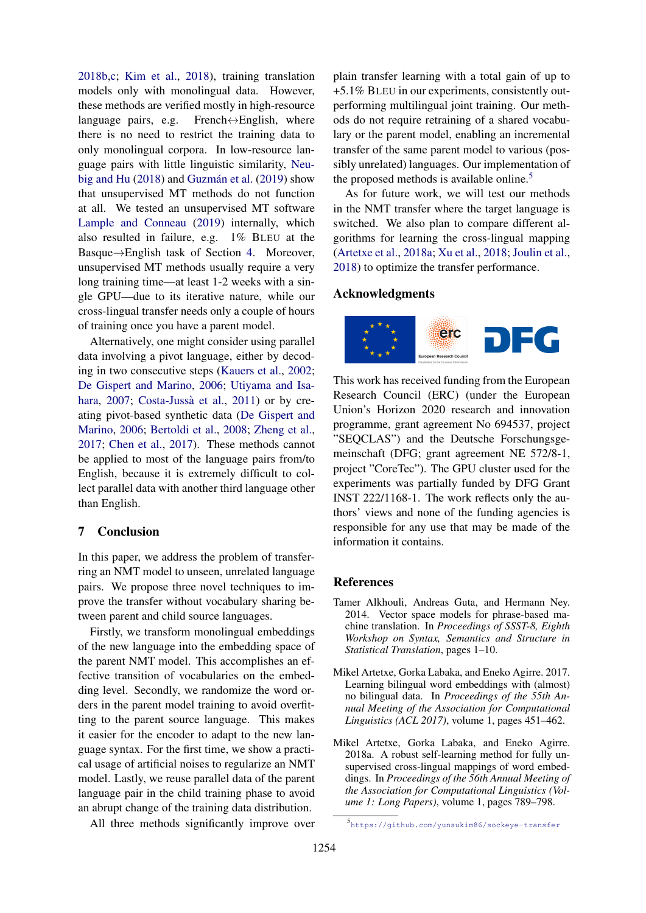[2018b](#page-9-15)[,c;](#page-9-14) [Kim et al.,](#page-10-8) [2018\)](#page-10-8), training translation models only with monolingual data. However, these methods are verified mostly in high-resource language pairs, e.g. French $\leftrightarrow$ English, where there is no need to restrict the training data to only monolingual corpora. In low-resource language pairs with little linguistic similarity, [Neu](#page-10-15)[big and Hu](#page-10-15)  $(2018)$  and Guzmán et al.  $(2019)$  show that unsupervised MT methods do not function at all. We tested an unsupervised MT software [Lample and Conneau](#page-10-4) [\(2019\)](#page-10-4) internally, which also resulted in failure, e.g. 1% BLEU at the Basque→English task of Section [4.](#page-4-5) Moreover, unsupervised MT methods usually require a very long training time—at least 1-2 weeks with a single GPU—due to its iterative nature, while our cross-lingual transfer needs only a couple of hours of training once you have a parent model.

Alternatively, one might consider using parallel data involving a pivot language, either by decoding in two consecutive steps [\(Kauers et al.,](#page-10-19) [2002;](#page-10-19) [De Gispert and Marino,](#page-9-17) [2006;](#page-9-17) [Utiyama and Isa](#page-11-8)[hara,](#page-11-8) [2007;](#page-11-8) Costa-Jussà et al., [2011\)](#page-9-18) or by creating pivot-based synthetic data [\(De Gispert and](#page-9-17) [Marino,](#page-9-17) [2006;](#page-9-17) [Bertoldi et al.,](#page-9-19) [2008;](#page-9-19) [Zheng et al.,](#page-11-9) [2017;](#page-11-9) [Chen et al.,](#page-9-20) [2017\)](#page-9-20). These methods cannot be applied to most of the language pairs from/to English, because it is extremely difficult to collect parallel data with another third language other than English.

# 7 Conclusion

In this paper, we address the problem of transferring an NMT model to unseen, unrelated language pairs. We propose three novel techniques to improve the transfer without vocabulary sharing between parent and child source languages.

Firstly, we transform monolingual embeddings of the new language into the embedding space of the parent NMT model. This accomplishes an effective transition of vocabularies on the embedding level. Secondly, we randomize the word orders in the parent model training to avoid overfitting to the parent source language. This makes it easier for the encoder to adapt to the new language syntax. For the first time, we show a practical usage of artificial noises to regularize an NMT model. Lastly, we reuse parallel data of the parent language pair in the child training phase to avoid an abrupt change of the training data distribution.

All three methods significantly improve over

plain transfer learning with a total gain of up to +5.1% BLEU in our experiments, consistently outperforming multilingual joint training. Our methods do not require retraining of a shared vocabulary or the parent model, enabling an incremental transfer of the same parent model to various (possibly unrelated) languages. Our implementation of the proposed methods is available online.<sup>[5](#page-8-2)</sup>

As for future work, we will test our methods in the NMT transfer where the target language is switched. We also plan to compare different algorithms for learning the cross-lingual mapping [\(Artetxe et al.,](#page-8-3) [2018a;](#page-8-3) [Xu et al.,](#page-11-10) [2018;](#page-11-10) [Joulin et al.,](#page-10-20) [2018\)](#page-10-20) to optimize the transfer performance.

### Acknowledgments



This work has received funding from the European Research Council (ERC) (under the European Union's Horizon 2020 research and innovation programme, grant agreement No 694537, project "SEQCLAS") and the Deutsche Forschungsgemeinschaft (DFG; grant agreement NE 572/8-1, project "CoreTec"). The GPU cluster used for the experiments was partially funded by DFG Grant INST 222/1168-1. The work reflects only the authors' views and none of the funding agencies is responsible for any use that may be made of the information it contains.

#### References

- <span id="page-8-1"></span>Tamer Alkhouli, Andreas Guta, and Hermann Ney. 2014. Vector space models for phrase-based machine translation. In *Proceedings of SSST-8, Eighth Workshop on Syntax, Semantics and Structure in Statistical Translation*, pages 1–10.
- <span id="page-8-0"></span>Mikel Artetxe, Gorka Labaka, and Eneko Agirre. 2017. Learning bilingual word embeddings with (almost) no bilingual data. In *Proceedings of the 55th Annual Meeting of the Association for Computational Linguistics (ACL 2017)*, volume 1, pages 451–462.
- <span id="page-8-3"></span>Mikel Artetxe, Gorka Labaka, and Eneko Agirre. 2018a. A robust self-learning method for fully unsupervised cross-lingual mappings of word embeddings. In *Proceedings of the 56th Annual Meeting of the Association for Computational Linguistics (Volume 1: Long Papers)*, volume 1, pages 789–798.

<span id="page-8-2"></span><sup>5</sup> <https://github.com/yunsukim86/sockeye-transfer>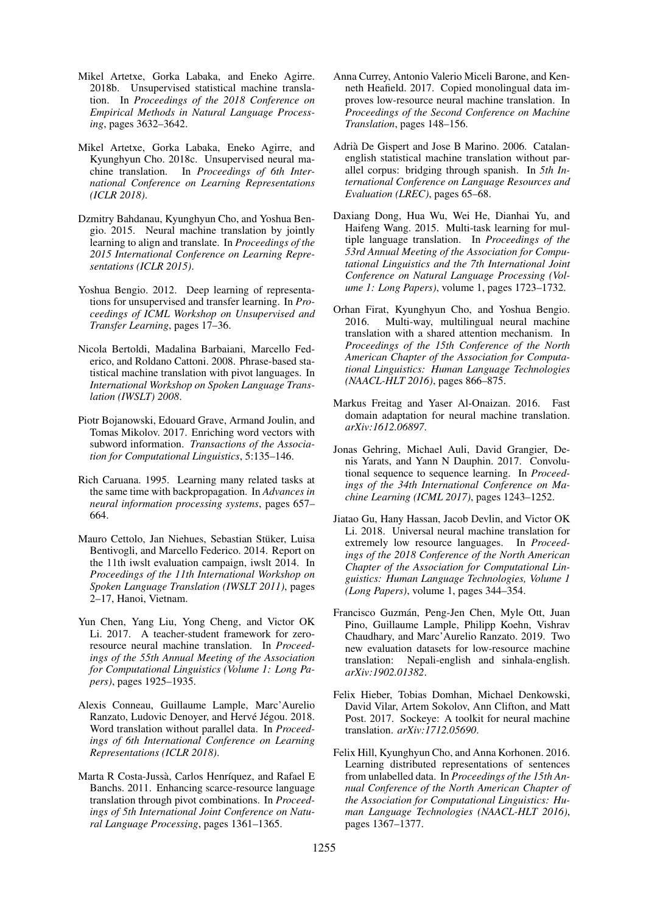- <span id="page-9-15"></span>Mikel Artetxe, Gorka Labaka, and Eneko Agirre. 2018b. Unsupervised statistical machine translation. In *Proceedings of the 2018 Conference on Empirical Methods in Natural Language Processing*, pages 3632–3642.
- <span id="page-9-14"></span>Mikel Artetxe, Gorka Labaka, Eneko Agirre, and Kyunghyun Cho. 2018c. Unsupervised neural machine translation. In *Proceedings of 6th International Conference on Learning Representations (ICLR 2018)*.
- <span id="page-9-0"></span>Dzmitry Bahdanau, Kyunghyun Cho, and Yoshua Bengio. 2015. Neural machine translation by jointly learning to align and translate. In *Proceedings of the 2015 International Conference on Learning Representations (ICLR 2015)*.
- <span id="page-9-4"></span>Yoshua Bengio. 2012. Deep learning of representations for unsupervised and transfer learning. In *Proceedings of ICML Workshop on Unsupervised and Transfer Learning*, pages 17–36.
- <span id="page-9-19"></span>Nicola Bertoldi, Madalina Barbaiani, Marcello Federico, and Roldano Cattoni. 2008. Phrase-based statistical machine translation with pivot languages. In *International Workshop on Spoken Language Translation (IWSLT) 2008*.
- <span id="page-9-10"></span>Piotr Bojanowski, Edouard Grave, Armand Joulin, and Tomas Mikolov. 2017. Enriching word vectors with subword information. *Transactions of the Association for Computational Linguistics*, 5:135–146.
- <span id="page-9-3"></span>Rich Caruana. 1995. Learning many related tasks at the same time with backpropagation. In *Advances in neural information processing systems*, pages 657– 664.
- <span id="page-9-8"></span>Mauro Cettolo, Jan Niehues, Sebastian Stuker, Luisa ¨ Bentivogli, and Marcello Federico. 2014. Report on the 11th iwslt evaluation campaign, iwslt 2014. In *Proceedings of the 11th International Workshop on Spoken Language Translation (IWSLT 2011)*, pages 2–17, Hanoi, Vietnam.
- <span id="page-9-20"></span>Yun Chen, Yang Liu, Yong Cheng, and Victor OK Li. 2017. A teacher-student framework for zeroresource neural machine translation. In *Proceedings of the 55th Annual Meeting of the Association for Computational Linguistics (Volume 1: Long Papers)*, pages 1925–1935.
- <span id="page-9-6"></span>Alexis Conneau, Guillaume Lample, Marc'Aurelio Ranzato, Ludovic Denoyer, and Hervé Jégou. 2018. Word translation without parallel data. In *Proceedings of 6th International Conference on Learning Representations (ICLR 2018)*.
- <span id="page-9-18"></span>Marta R Costa-Jussà, Carlos Henríquez, and Rafael E Banchs. 2011. Enhancing scarce-resource language translation through pivot combinations. In *Proceedings of 5th International Joint Conference on Natural Language Processing*, pages 1361–1365.
- <span id="page-9-11"></span>Anna Currey, Antonio Valerio Miceli Barone, and Kenneth Heafield. 2017. Copied monolingual data improves low-resource neural machine translation. In *Proceedings of the Second Conference on Machine Translation*, pages 148–156.
- <span id="page-9-17"></span>Adrià De Gispert and Jose B Marino. 2006. Catalanenglish statistical machine translation without parallel corpus: bridging through spanish. In *5th International Conference on Language Resources and Evaluation (LREC)*, pages 65–68.
- <span id="page-9-12"></span>Daxiang Dong, Hua Wu, Wei He, Dianhai Yu, and Haifeng Wang. 2015. Multi-task learning for multiple language translation. In *Proceedings of the 53rd Annual Meeting of the Association for Computational Linguistics and the 7th International Joint Conference on Natural Language Processing (Volume 1: Long Papers)*, volume 1, pages 1723–1732.
- <span id="page-9-1"></span>Orhan Firat, Kyunghyun Cho, and Yoshua Bengio. 2016. Multi-way, multilingual neural machine translation with a shared attention mechanism. In *Proceedings of the 15th Conference of the North American Chapter of the Association for Computational Linguistics: Human Language Technologies (NAACL-HLT 2016)*, pages 866–875.
- <span id="page-9-5"></span>Markus Freitag and Yaser Al-Onaizan. 2016. Fast domain adaptation for neural machine translation. *arXiv:1612.06897*.
- <span id="page-9-2"></span>Jonas Gehring, Michael Auli, David Grangier, Denis Yarats, and Yann N Dauphin. 2017. Convolutional sequence to sequence learning. In *Proceedings of the 34th International Conference on Machine Learning (ICML 2017)*, pages 1243–1252.
- <span id="page-9-13"></span>Jiatao Gu, Hany Hassan, Jacob Devlin, and Victor OK Li. 2018. Universal neural machine translation for extremely low resource languages. In *Proceedings of the 2018 Conference of the North American Chapter of the Association for Computational Linguistics: Human Language Technologies, Volume 1 (Long Papers)*, volume 1, pages 344–354.
- <span id="page-9-16"></span>Francisco Guzmán, Peng-Jen Chen, Myle Ott, Juan Pino, Guillaume Lample, Philipp Koehn, Vishrav Chaudhary, and Marc'Aurelio Ranzato. 2019. Two new evaluation datasets for low-resource machine translation: Nepali-english and sinhala-english. *arXiv:1902.01382*.
- <span id="page-9-9"></span>Felix Hieber, Tobias Domhan, Michael Denkowski, David Vilar, Artem Sokolov, Ann Clifton, and Matt Post. 2017. Sockeye: A toolkit for neural machine translation. *arXiv:1712.05690*.
- <span id="page-9-7"></span>Felix Hill, Kyunghyun Cho, and Anna Korhonen. 2016. Learning distributed representations of sentences from unlabelled data. In *Proceedings of the 15th Annual Conference of the North American Chapter of the Association for Computational Linguistics: Human Language Technologies (NAACL-HLT 2016)*, pages 1367–1377.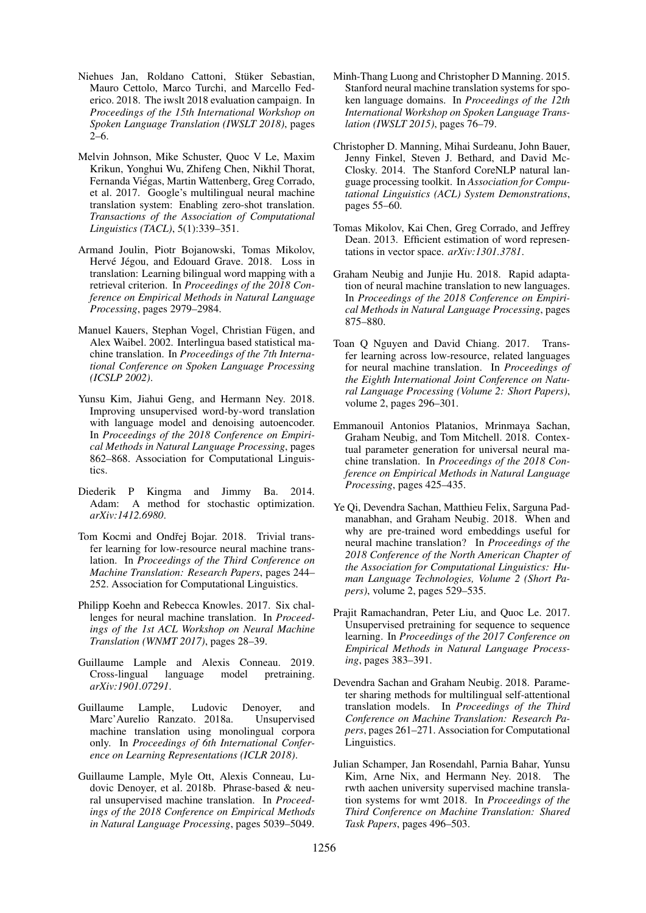- <span id="page-10-9"></span>Niehues Jan, Roldano Cattoni, Stüker Sebastian, Mauro Cettolo, Marco Turchi, and Marcello Federico. 2018. The iwslt 2018 evaluation campaign. In *Proceedings of the 15th International Workshop on Spoken Language Translation (IWSLT 2018)*, pages  $2-6$ .
- <span id="page-10-1"></span>Melvin Johnson, Mike Schuster, Quoc V Le, Maxim Krikun, Yonghui Wu, Zhifeng Chen, Nikhil Thorat, Fernanda Viegas, Martin Wattenberg, Greg Corrado, ´ et al. 2017. Google's multilingual neural machine translation system: Enabling zero-shot translation. *Transactions of the Association of Computational Linguistics (TACL)*, 5(1):339–351.
- <span id="page-10-20"></span>Armand Joulin, Piotr Bojanowski, Tomas Mikolov, Hervé Jégou, and Edouard Grave. 2018. Loss in translation: Learning bilingual word mapping with a retrieval criterion. In *Proceedings of the 2018 Conference on Empirical Methods in Natural Language Processing*, pages 2979–2984.
- <span id="page-10-19"></span>Manuel Kauers, Stephan Vogel, Christian Fügen, and Alex Waibel. 2002. Interlingua based statistical machine translation. In *Proceedings of the 7th International Conference on Spoken Language Processing (ICSLP 2002)*.
- <span id="page-10-8"></span>Yunsu Kim, Jiahui Geng, and Hermann Ney. 2018. Improving unsupervised word-by-word translation with language model and denoising autoencoder. In *Proceedings of the 2018 Conference on Empirical Methods in Natural Language Processing*, pages 862–868. Association for Computational Linguistics.
- <span id="page-10-11"></span>Diederik P Kingma and Jimmy Ba. 2014. Adam: A method for stochastic optimization. *arXiv:1412.6980*.
- <span id="page-10-6"></span>Tom Kocmi and Ondřej Bojar. 2018. Trivial transfer learning for low-resource neural machine translation. In *Proceedings of the Third Conference on Machine Translation: Research Papers*, pages 244– 252. Association for Computational Linguistics.
- <span id="page-10-0"></span>Philipp Koehn and Rebecca Knowles. 2017. Six challenges for neural machine translation. In *Proceedings of the 1st ACL Workshop on Neural Machine Translation (WNMT 2017)*, pages 28–39.
- <span id="page-10-4"></span>Guillaume Lample and Alexis Conneau. 2019. Cross-lingual language model pretraining. *arXiv:1901.07291*.
- <span id="page-10-14"></span>Guillaume Lample, Ludovic Denoyer, and Marc'Aurelio Ranzato. 2018a. Unsupervised machine translation using monolingual corpora only. In *Proceedings of 6th International Conference on Learning Representations (ICLR 2018)*.
- <span id="page-10-18"></span>Guillaume Lample, Myle Ott, Alexis Conneau, Ludovic Denoyer, et al. 2018b. Phrase-based & neural unsupervised machine translation. In *Proceedings of the 2018 Conference on Empirical Methods in Natural Language Processing*, pages 5039–5049.
- <span id="page-10-2"></span>Minh-Thang Luong and Christopher D Manning. 2015. Stanford neural machine translation systems for spoken language domains. In *Proceedings of the 12th International Workshop on Spoken Language Translation (IWSLT 2015)*, pages 76–79.
- <span id="page-10-13"></span>Christopher D. Manning, Mihai Surdeanu, John Bauer, Jenny Finkel, Steven J. Bethard, and David Mc-Closky. 2014. The Stanford CoreNLP natural language processing toolkit. In *Association for Computational Linguistics (ACL) System Demonstrations*, pages 55–60.
- <span id="page-10-7"></span>Tomas Mikolov, Kai Chen, Greg Corrado, and Jeffrey Dean. 2013. Efficient estimation of word representations in vector space. *arXiv:1301.3781*.
- <span id="page-10-15"></span>Graham Neubig and Junjie Hu. 2018. Rapid adaptation of neural machine translation to new languages. In *Proceedings of the 2018 Conference on Empirical Methods in Natural Language Processing*, pages 875–880.
- <span id="page-10-5"></span>Toan Q Nguyen and David Chiang. 2017. Transfer learning across low-resource, related languages for neural machine translation. In *Proceedings of the Eighth International Joint Conference on Natural Language Processing (Volume 2: Short Papers)*, volume 2, pages 296–301.
- <span id="page-10-17"></span>Emmanouil Antonios Platanios, Mrinmaya Sachan, Graham Neubig, and Tom Mitchell. 2018. Contextual parameter generation for universal neural machine translation. In *Proceedings of the 2018 Conference on Empirical Methods in Natural Language Processing*, pages 425–435.
- <span id="page-10-10"></span>Ye Qi, Devendra Sachan, Matthieu Felix, Sarguna Padmanabhan, and Graham Neubig. 2018. When and why are pre-trained word embeddings useful for neural machine translation? In *Proceedings of the 2018 Conference of the North American Chapter of the Association for Computational Linguistics: Human Language Technologies, Volume 2 (Short Papers)*, volume 2, pages 529–535.
- <span id="page-10-3"></span>Prajit Ramachandran, Peter Liu, and Quoc Le. 2017. Unsupervised pretraining for sequence to sequence learning. In *Proceedings of the 2017 Conference on Empirical Methods in Natural Language Processing*, pages 383–391.
- <span id="page-10-16"></span>Devendra Sachan and Graham Neubig. 2018. Parameter sharing methods for multilingual self-attentional translation models. In *Proceedings of the Third Conference on Machine Translation: Research Papers*, pages 261–271. Association for Computational Linguistics.
- <span id="page-10-12"></span>Julian Schamper, Jan Rosendahl, Parnia Bahar, Yunsu Kim, Arne Nix, and Hermann Ney. 2018. The rwth aachen university supervised machine translation systems for wmt 2018. In *Proceedings of the Third Conference on Machine Translation: Shared Task Papers*, pages 496–503.